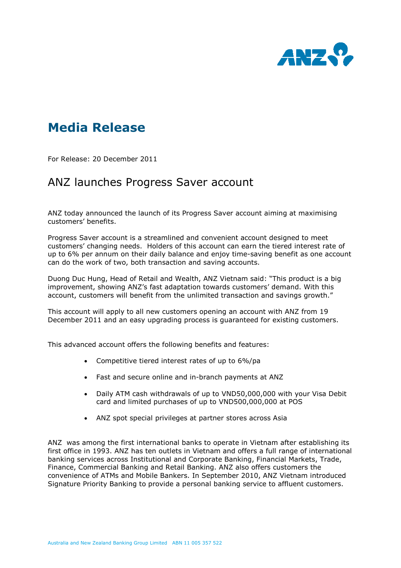

## Media Release

For Release: 20 December 2011

## ANZ launches Progress Saver account

ANZ today announced the launch of its Progress Saver account aiming at maximising customers' benefits.

Progress Saver account is a streamlined and convenient account designed to meet customers' changing needs. Holders of this account can earn the tiered interest rate of up to 6% per annum on their daily balance and enjoy time-saving benefit as one account can do the work of two, both transaction and saving accounts.

Duong Duc Hung, Head of Retail and Wealth, ANZ Vietnam said: "This product is a big improvement, showing ANZ's fast adaptation towards customers' demand. With this account, customers will benefit from the unlimited transaction and savings growth."

This account will apply to all new customers opening an account with ANZ from 19 December 2011 and an easy upgrading process is guaranteed for existing customers.

This advanced account offers the following benefits and features:

- Competitive tiered interest rates of up to 6%/pa
- Fast and secure online and in-branch payments at ANZ
- Daily ATM cash withdrawals of up to VND50,000,000 with your Visa Debit card and limited purchases of up to VND500,000,000 at POS
- ANZ spot special privileges at partner stores across Asia

ANZ was among the first international banks to operate in Vietnam after establishing its first office in 1993. ANZ has ten outlets in Vietnam and offers a full range of international banking services across Institutional and Corporate Banking, Financial Markets, Trade, Finance, Commercial Banking and Retail Banking. ANZ also offers customers the convenience of ATMs and Mobile Bankers. In September 2010, ANZ Vietnam introduced Signature Priority Banking to provide a personal banking service to affluent customers.